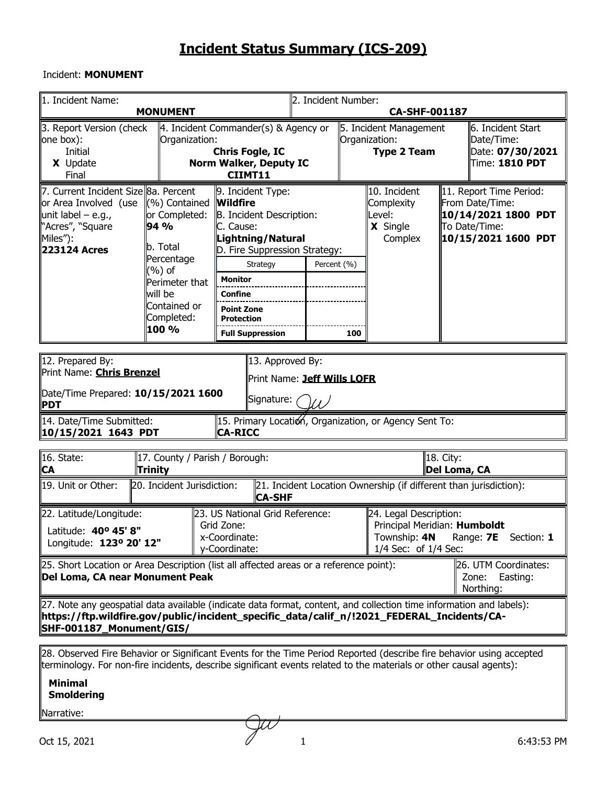#### Incident: **MONUMENT**

| 1. Incident Name:                                                                                                                                                                                                                              | <b>MONUMENT</b>                                                                                                                          |                                                                                                                                                                                                                                              | 2. Incident Number:<br>CA-SHF-001187 |     |                                                               |                                                                                                                     |  |  |  |  |  |  |
|------------------------------------------------------------------------------------------------------------------------------------------------------------------------------------------------------------------------------------------------|------------------------------------------------------------------------------------------------------------------------------------------|----------------------------------------------------------------------------------------------------------------------------------------------------------------------------------------------------------------------------------------------|--------------------------------------|-----|---------------------------------------------------------------|---------------------------------------------------------------------------------------------------------------------|--|--|--|--|--|--|
| 3. Report Version (check<br>one box):<br>Initial<br>X Update<br>Final                                                                                                                                                                          | Organization:                                                                                                                            | $\parallel$ 4. Incident Commander(s) & Agency or<br><b>Chris Fogle, IC</b><br>Norm Walker, Deputy IC<br>CIIMT11                                                                                                                              |                                      |     | 5. Incident Management<br>Organization:<br><b>Type 2 Team</b> | ll6. Incident Start<br>Date/Time:<br>Date: 07/30/2021<br>Time: 1810 PDT                                             |  |  |  |  |  |  |
| 7. Current Incident Size 8a. Percent<br>or Area Involved (use ((%) Contained<br>unit label – e.g.,<br>"Acres", "Square<br>Miles"):<br>223124 Acres                                                                                             | or Completed:<br>94 %<br>b. Total<br>Percentage<br>(%) of<br>Perimeter that<br>will be<br>Contained or<br>Completed:<br>100 %            | 9. Incident Type:<br><b>Wildfire</b><br>B. Incident Description:<br>C. Cause:<br>Lightning / Natural<br>D. Fire Suppression Strategy:<br>Strategy<br><b>Monitor</b><br>Confine<br><b>Point Zone</b><br>Protection<br><b>Full Suppression</b> | Percent (%)                          | 100 | 10. Incident<br>Complexity<br>Level:<br>X Single<br>Complex   | 11. Report Time Period:<br>From Date/Time:<br>  10/14/2021 1800 PDT<br>To Date/Time:<br>  10/15/2021 1600 PDT       |  |  |  |  |  |  |
| 12. Prepared By:<br>∥PDT                                                                                                                                                                                                                       | 13. Approved By:<br>Print Name: <b>Chris Brenzel</b><br>Print Name: Jeff Wills LOFR<br>Date/Time Prepared: 10/15/2021 1600<br>Signature: |                                                                                                                                                                                                                                              |                                      |     |                                                               |                                                                                                                     |  |  |  |  |  |  |
| 14. Date/Time Submitted:<br>10/15/2021 1643 PDT                                                                                                                                                                                                |                                                                                                                                          | <b>CA-RICC</b>                                                                                                                                                                                                                               |                                      |     | 15. Primary Location, Organization, or Agency Sent To:        |                                                                                                                     |  |  |  |  |  |  |
| 16. State:<br>∥CA                                                                                                                                                                                                                              | 17. County / Parish / Borough:<br>Trinity                                                                                                |                                                                                                                                                                                                                                              |                                      |     |                                                               | 18. City:<br>Del Loma, CA                                                                                           |  |  |  |  |  |  |
| 19. Unit or Other:                                                                                                                                                                                                                             | 20. Incident Jurisdiction:                                                                                                               | <b>CA-SHF</b>                                                                                                                                                                                                                                |                                      |     |                                                               | 21. Incident Location Ownership (if different than jurisdiction):                                                   |  |  |  |  |  |  |
| 22. Latitude/Longitude:<br>Latitude: 40° 45' 8"<br>Longitude: 123º 20' 12"                                                                                                                                                                     |                                                                                                                                          | 23. US National Grid Reference:<br>Grid Zone:<br>x-Coordinate:<br>y-Coordinate:                                                                                                                                                              |                                      |     |                                                               | 24. Legal Description:<br>Principal Meridian: Humboldt<br>Township: 4N Range: 7E Section: 1<br>1/4 Sec: of 1/4 Sec: |  |  |  |  |  |  |
| 25. Short Location or Area Description (list all affected areas or a reference point):<br>26. UTM Coordinates:<br>Del Loma, CA near Monument Peak<br>Zone:<br>Easting:<br>Northing:                                                            |                                                                                                                                          |                                                                                                                                                                                                                                              |                                      |     |                                                               |                                                                                                                     |  |  |  |  |  |  |
| [27. Note any geospatial data available (indicate data format, content, and collection time information and labels):<br>https://ftp.wildfire.gov/public/incident_specific_data/calif_n/!2021_FEDERAL_Incidents/CA-<br>SHF-001187_Monument/GIS/ |                                                                                                                                          |                                                                                                                                                                                                                                              |                                      |     |                                                               |                                                                                                                     |  |  |  |  |  |  |
| 28. Observed Fire Behavior or Significant Events for the Time Period Reported (describe fire behavior using accepted                                                                                                                           |                                                                                                                                          |                                                                                                                                                                                                                                              |                                      |     |                                                               |                                                                                                                     |  |  |  |  |  |  |

terminology. For non-fire incidents, describe significant events related to the materials or other causal agents):

#### **Minimal Smoldering**

Narrative: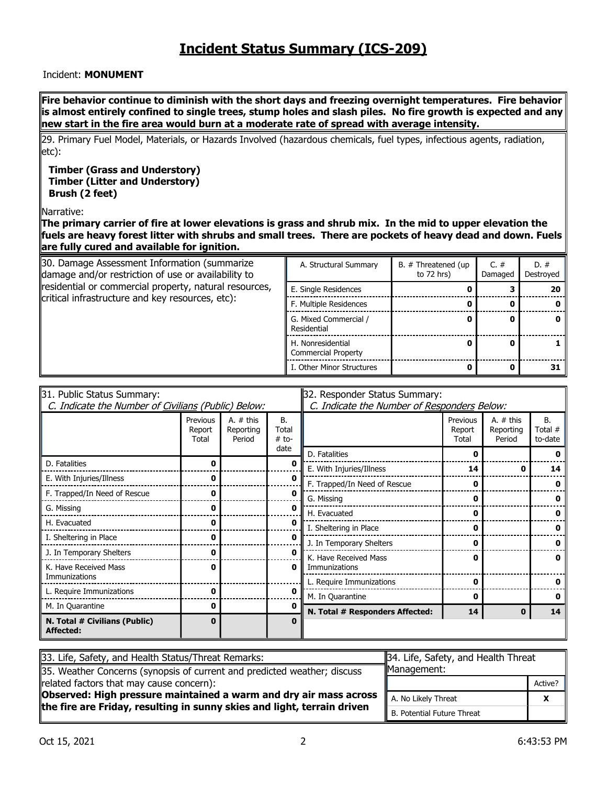#### Incident: **MONUMENT**

**Fire behavior continue to diminish with the short days and freezing overnight temperatures. Fire behavior is almost entirely confined to single trees, stump holes and slash piles. No fire growth is expected and any new start in the fire area would burn at a moderate rate of spread with average intensity.** 

29. Primary Fuel Model, Materials, or Hazards Involved (hazardous chemicals, fuel types, infectious agents, radiation, etc):

#### **Timber (Grass and Understory) Timber (Litter and Understory) Brush (2 feet)**

Narrative:

**The primary carrier of fire at lower elevations is grass and shrub mix. In the mid to upper elevation the fuels are heavy forest litter with shrubs and small trees. There are pockets of heavy dead and down. Fuels are fully cured and available for ignition.**

| 30. Damage Assessment Information (summarize<br>damage and/or restriction of use or availability to | A. Structural Summary                           | B. # Threatened (up<br>to $72$ hrs) | C. $#$<br>Damaged | $D. \#$<br>Destroyed |
|-----------------------------------------------------------------------------------------------------|-------------------------------------------------|-------------------------------------|-------------------|----------------------|
| residential or commercial property, natural resources,                                              | E. Single Residences                            |                                     |                   | 20                   |
| critical infrastructure and key resources, etc):                                                    | F. Multiple Residences                          |                                     |                   |                      |
|                                                                                                     | G. Mixed Commercial /<br>Residential            |                                     |                   |                      |
|                                                                                                     | H. Nonresidential<br><b>Commercial Property</b> |                                     |                   |                      |
|                                                                                                     | I. Other Minor Structures                       |                                     |                   | 31                   |

| 31. Public Status Summary:                          |                             |                                    | 32. Responder Status Summary: |                                             |                             |                                    |                                 |  |  |  |  |
|-----------------------------------------------------|-----------------------------|------------------------------------|-------------------------------|---------------------------------------------|-----------------------------|------------------------------------|---------------------------------|--|--|--|--|
| C. Indicate the Number of Civilians (Public) Below: |                             |                                    |                               | C. Indicate the Number of Responders Below: |                             |                                    |                                 |  |  |  |  |
|                                                     | Previous<br>Report<br>Total | A. $#$ this<br>Reporting<br>Period | <b>B.</b><br>Total<br>$#$ to- |                                             | Previous<br>Report<br>Total | A. $#$ this<br>Reporting<br>Period | <b>B.</b><br>Total #<br>to-date |  |  |  |  |
|                                                     |                             |                                    | date                          | D. Fatalities                               | n                           |                                    |                                 |  |  |  |  |
| D. Fatalities                                       | 0                           |                                    | n                             | E. With Injuries/Illness                    | 14                          |                                    | 14                              |  |  |  |  |
| E. With Injuries/Illness                            | ŋ                           |                                    | ŋ                             | F. Trapped/In Need of Rescue                | 0                           |                                    |                                 |  |  |  |  |
| F. Trapped/In Need of Rescue                        | 0                           |                                    | 0                             | G. Missing                                  | 0                           |                                    |                                 |  |  |  |  |
| G. Missing                                          | 0                           |                                    | 0                             | H. Evacuated                                | 0                           |                                    |                                 |  |  |  |  |
| H. Evacuated                                        | 0                           |                                    | n                             | I. Sheltering in Place                      | 0                           |                                    |                                 |  |  |  |  |
| I. Sheltering in Place                              | 0                           |                                    | 0                             | J. In Temporary Shelters                    | 0                           |                                    |                                 |  |  |  |  |
| J. In Temporary Shelters                            | ŋ                           |                                    | U                             | K. Have Received Mass                       | 0                           |                                    |                                 |  |  |  |  |
| K. Have Received Mass                               | 0                           |                                    | 0                             | Immunizations                               |                             |                                    | 0                               |  |  |  |  |
| Immunizations                                       |                             |                                    |                               | L. Require Immunizations                    | 0                           |                                    |                                 |  |  |  |  |
| L. Require Immunizations                            | 0                           |                                    | 0                             | M. In Quarantine                            | 0                           |                                    |                                 |  |  |  |  |
| M. In Quarantine                                    | 0                           |                                    | 0                             | N. Total # Responders Affected:             | 14                          | 0                                  | 14                              |  |  |  |  |
| N. Total # Civilians (Public)<br>Affected:          |                             |                                    |                               |                                             |                             |                                    |                                 |  |  |  |  |

| 33. Life, Safety, and Health Status/Threat Remarks:                      | 34. Life, Safety, and Health Threat |         |  |  |  |
|--------------------------------------------------------------------------|-------------------------------------|---------|--|--|--|
| 35. Weather Concerns (synopsis of current and predicted weather; discuss | Management:                         |         |  |  |  |
| related factors that may cause concern):                                 |                                     | Active? |  |  |  |
| Observed: High pressure maintained a warm and dry air mass across        | A. No Likely Threat                 | v       |  |  |  |
| the fire are Friday, resulting in sunny skies and light, terrain driven  | I B. Potential Future Threat        |         |  |  |  |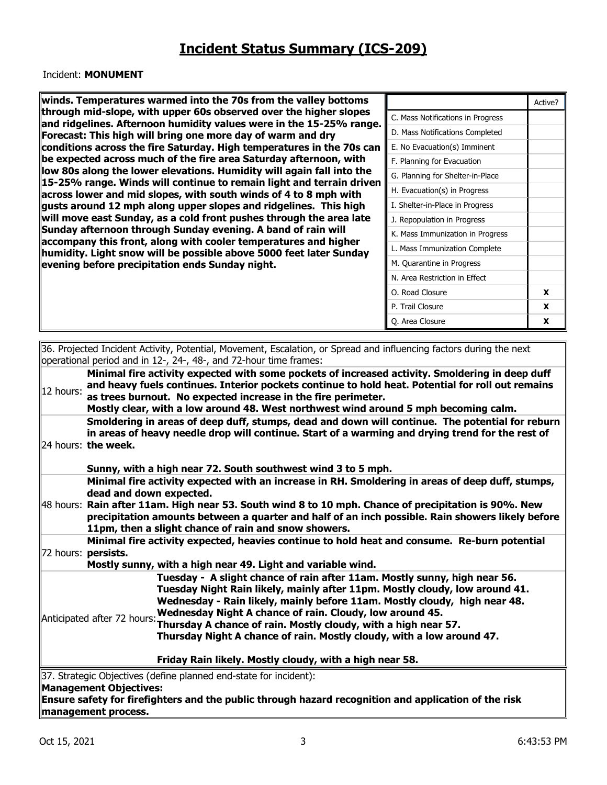#### Incident: **MONUMENT**

**winds. Temperatures warmed into the 70s from the valley bottoms through mid-slope, with upper 60s observed over the higher slopes and ridgelines. Afternoon humidity values were in the 15-25% range. Forecast: This high will bring one more day of warm and dry conditions across the fire Saturday. High temperatures in the 70s can be expected across much of the fire area Saturday afternoon, with low 80s along the lower elevations. Humidity will again fall into the 15-25% range. Winds will continue to remain light and terrain driven across lower and mid slopes, with south winds of 4 to 8 mph with gusts around 12 mph along upper slopes and ridgelines. This high will move east Sunday, as a cold front pushes through the area late Sunday afternoon through Sunday evening. A band of rain will accompany this front, along with cooler temperatures and higher humidity. Light snow will be possible above 5000 feet later Sunday evening before precipitation ends Sunday night.** 

|                                   | Active? |
|-----------------------------------|---------|
| C. Mass Notifications in Progress |         |
| D. Mass Notifications Completed   |         |
| E. No Evacuation(s) Imminent      |         |
| F. Planning for Evacuation        |         |
| G. Planning for Shelter-in-Place  |         |
| H. Evacuation(s) in Progress      |         |
| I. Shelter-in-Place in Progress   |         |
| J. Repopulation in Progress       |         |
| K. Mass Immunization in Progress  |         |
| L. Mass Immunization Complete     |         |
| M. Quarantine in Progress         |         |
| N. Area Restriction in Effect     |         |
| O. Road Closure                   | x       |
| P. Trail Closure                  | X       |
| Q. Area Closure                   | x       |

|           | 36. Projected Incident Activity, Potential, Movement, Escalation, or Spread and influencing factors during the next<br>loperational period and in 12-, 24-, 48-, and 72-hour time frames:                                                                                                                                                                                                                                                                                |
|-----------|--------------------------------------------------------------------------------------------------------------------------------------------------------------------------------------------------------------------------------------------------------------------------------------------------------------------------------------------------------------------------------------------------------------------------------------------------------------------------|
| 12 hours: | Minimal fire activity expected with some pockets of increased activity. Smoldering in deep duff<br>and heavy fuels continues. Interior pockets continue to hold heat. Potential for roll out remains<br>as trees burnout. No expected increase in the fire perimeter.<br>Mostly clear, with a low around 48. West northwest wind around 5 mph becoming calm.                                                                                                             |
|           | Smoldering in areas of deep duff, stumps, dead and down will continue. The potential for reburn<br>in areas of heavy needle drop will continue. Start of a warming and drying trend for the rest of<br>24 hours: the week.<br>Sunny, with a high near 72. South southwest wind 3 to 5 mph.                                                                                                                                                                               |
| 48 hours: | Minimal fire activity expected with an increase in RH. Smoldering in areas of deep duff, stumps,<br>dead and down expected.<br>Rain after 11am. High near 53. South wind 8 to 10 mph. Chance of precipitation is 90%. New<br>precipitation amounts between a quarter and half of an inch possible. Rain showers likely before<br>11pm, then a slight chance of rain and snow showers.                                                                                    |
|           | Minimal fire activity expected, heavies continue to hold heat and consume. Re-burn potential<br>72 hours: persists.<br>Mostly sunny, with a high near 49. Light and variable wind.                                                                                                                                                                                                                                                                                       |
|           | Tuesday - A slight chance of rain after 11am. Mostly sunny, high near 56.<br>Tuesday Night Rain likely, mainly after 11pm. Mostly cloudy, low around 41.<br>Wednesday - Rain likely, mainly before 11am. Mostly cloudy, high near 48.<br>Wednesday Night A chance of rain. Cloudy, low around 45.<br>Anticipated after 72 hours: Thursday A chance of rain. Mostly cloudy, with a high near 57.<br>Thursday Night A chance of rain. Mostly cloudy, with a low around 47. |
|           | Friday Rain likely. Mostly cloudy, with a high near 58.                                                                                                                                                                                                                                                                                                                                                                                                                  |
|           | 37. Strategic Objectives (define planned end-state for incident):<br>Management Objectives:<br>Ensure safety for firefighters and the public through hazard recognition and application of the risk                                                                                                                                                                                                                                                                      |

**management process.**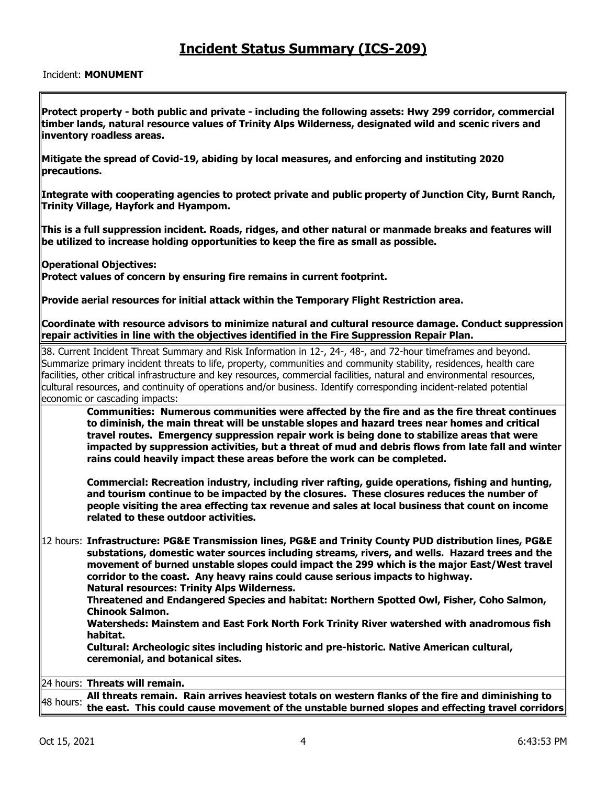#### Incident: **MONUMENT**

**Protect property - both public and private - including the following assets: Hwy 299 corridor, commercial timber lands, natural resource values of Trinity Alps Wilderness, designated wild and scenic rivers and inventory roadless areas.** 

**Mitigate the spread of Covid-19, abiding by local measures, and enforcing and instituting 2020 precautions.** 

**Integrate with cooperating agencies to protect private and public property of Junction City, Burnt Ranch, Trinity Village, Hayfork and Hyampom.** 

**This is a full suppression incident. Roads, ridges, and other natural or manmade breaks and features will be utilized to increase holding opportunities to keep the fire as small as possible.** 

**Operational Objectives:** 

**Protect values of concern by ensuring fire remains in current footprint.** 

**Provide aerial resources for initial attack within the Temporary Flight Restriction area.** 

**Coordinate with resource advisors to minimize natural and cultural resource damage. Conduct suppression repair activities in line with the objectives identified in the Fire Suppression Repair Plan.** 

38. Current Incident Threat Summary and Risk Information in 12-, 24-, 48-, and 72-hour timeframes and beyond. Summarize primary incident threats to life, property, communities and community stability, residences, health care facilities, other critical infrastructure and key resources, commercial facilities, natural and environmental resources, cultural resources, and continuity of operations and/or business. Identify corresponding incident-related potential economic or cascading impacts:

**Communities: Numerous communities were affected by the fire and as the fire threat continues to diminish, the main threat will be unstable slopes and hazard trees near homes and critical travel routes. Emergency suppression repair work is being done to stabilize areas that were impacted by suppression activities, but a threat of mud and debris flows from late fall and winter rains could heavily impact these areas before the work can be completed.** 

**Commercial: Recreation industry, including river rafting, guide operations, fishing and hunting, and tourism continue to be impacted by the closures. These closures reduces the number of people visiting the area effecting tax revenue and sales at local business that count on income related to these outdoor activities.** 

12 hours: **Infrastructure: PG&E Transmission lines, PG&E and Trinity County PUD distribution lines, PG&E substations, domestic water sources including streams, rivers, and wells. Hazard trees and the movement of burned unstable slopes could impact the 299 which is the major East/West travel corridor to the coast. Any heavy rains could cause serious impacts to highway. Natural resources: Trinity Alps Wilderness.** 

**Threatened and Endangered Species and habitat: Northern Spotted Owl, Fisher, Coho Salmon, Chinook Salmon.** 

**Watersheds: Mainstem and East Fork North Fork Trinity River watershed with anadromous fish habitat.** 

**Cultural: Archeologic sites including historic and pre-historic. Native American cultural, ceremonial, and botanical sites.** 

24 hours: **Threats will remain.**

48 hours: **All threats remain. Rain arrives heaviest totals on western flanks of the fire and diminishing to the east. This could cause movement of the unstable burned slopes and effecting travel corridors**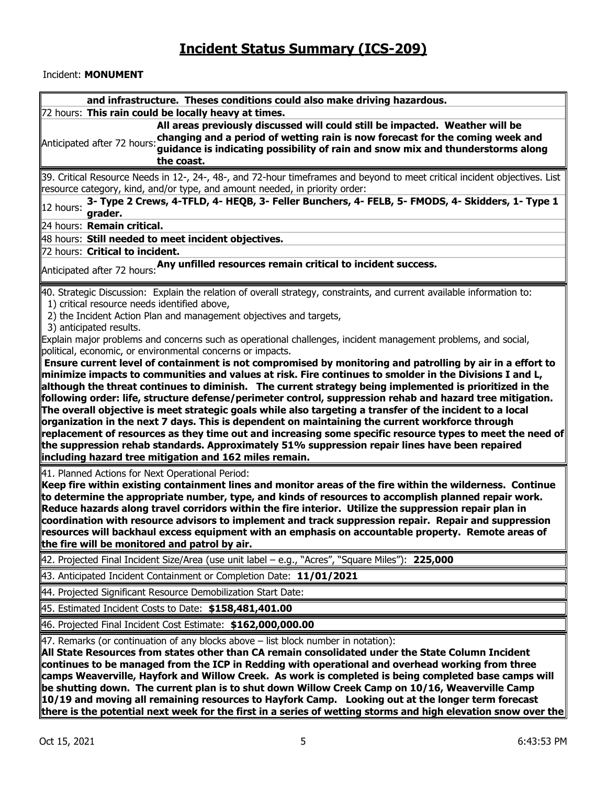#### Incident: **MONUMENT**

| and infrastructure. Theses conditions could also make driving hazardous.                                                                                                                                                                                                                   |
|--------------------------------------------------------------------------------------------------------------------------------------------------------------------------------------------------------------------------------------------------------------------------------------------|
| 72 hours: This rain could be locally heavy at times.                                                                                                                                                                                                                                       |
| All areas previously discussed will could still be impacted. Weather will be<br>Anticipated after 72 hours: changing and a period of wetting rain is now forecast for the coming week and<br>guidance is indicating possibility of rain and snow mix and thunderstorms along<br>the coast. |
| 39. Critical Resource Needs in 12-, 24-, 48-, and 72-hour timeframes and beyond to meet critical incident objectives. List<br>resource category, kind, and/or type, and amount needed, in priority order:                                                                                  |
| 3- Type 2 Crews, 4-TFLD, 4- HEQB, 3- Feller Bunchers, 4- FELB, 5- FMODS, 4- Skidders, 1- Type 1<br>12 hours:<br>grader.                                                                                                                                                                    |
| 24 hours: Remain critical.                                                                                                                                                                                                                                                                 |
| 48 hours: Still needed to meet incident objectives.                                                                                                                                                                                                                                        |
| 72 hours: Critical to incident.                                                                                                                                                                                                                                                            |
| Anticipated after 72 hours: Any unfilled resources remain critical to incident success.                                                                                                                                                                                                    |
| $\#$ 0. Strategic Discussion: Explain the relation of overall strategy, constraints, and current available information to:<br>1) critical resource needs identified above,                                                                                                                 |
| 2) the Incident Action Plan and management objectives and targets,                                                                                                                                                                                                                         |
| 3) anticipated results.<br>Explain major problems and concerns such as operational challenges, incident management problems, and social,                                                                                                                                                   |
| political, economic, or environmental concerns or impacts.                                                                                                                                                                                                                                 |
| Ensure current level of containment is not compromised by monitoring and patrolling by air in a effort to                                                                                                                                                                                  |
| $\ $ minimize impacts to communities and values at risk. Fire continues to smolder in the Divisions I and L,                                                                                                                                                                               |
| $\parallel$ although the threat continues to diminish. The current strategy being implemented is prioritized in the                                                                                                                                                                        |
| $ $ following order: life, structure defense/perimeter control, suppression rehab and hazard tree mitigation.<br>$\parallel$ The overall objective is meet strategic goals while also targeting a transfer of the incident to a local                                                      |
| $\,$ organization in the next 7 days. This is dependent on maintaining the current workforce through                                                                                                                                                                                       |
| $ $ replacement of resources as they time out and increasing some specific resource types to meet the need of $ $                                                                                                                                                                          |
| $ $ the suppression rehab standards. Approximately 51% suppression repair lines have been repaired<br>including hazard tree mitigation and 162 miles remain.                                                                                                                               |
| 41. Planned Actions for Next Operational Period:                                                                                                                                                                                                                                           |
| Keep fire within existing containment lines and monitor areas of the fire within the wilderness. Continue                                                                                                                                                                                  |
| to determine the appropriate number, type, and kinds of resources to accomplish planned repair work.                                                                                                                                                                                       |
| Reduce hazards along travel corridors within the fire interior. Utilize the suppression repair plan in<br>coordination with resource advisors to implement and track suppression repair. Repair and suppression                                                                            |
| resources will backhaul excess equipment with an emphasis on accountable property. Remote areas of                                                                                                                                                                                         |
| the fire will be monitored and patrol by air.                                                                                                                                                                                                                                              |
| 42. Projected Final Incident Size/Area (use unit label - e.g., "Acres", "Square Miles"): 225,000                                                                                                                                                                                           |
| 43. Anticipated Incident Containment or Completion Date: 11/01/2021                                                                                                                                                                                                                        |
| 44. Projected Significant Resource Demobilization Start Date:                                                                                                                                                                                                                              |
| 45. Estimated Incident Costs to Date: \$158,481,401.00                                                                                                                                                                                                                                     |
| 46. Projected Final Incident Cost Estimate: \$162,000,000.00                                                                                                                                                                                                                               |
| $\parallel$ 47. Remarks (or continuation of any blocks above $-$ list block number in notation):                                                                                                                                                                                           |
| All State Resources from states other than CA remain consolidated under the State Column Incident<br>continues to be managed from the ICP in Redding with operational and overhead working from three                                                                                      |
| camps Weaverville, Hayfork and Willow Creek. As work is completed is being completed base camps will                                                                                                                                                                                       |
|                                                                                                                                                                                                                                                                                            |
| $\,$ be shutting down. The current plan is to shut down Willow Creek Camp on 10/16, Weaverville Camp                                                                                                                                                                                       |
| 10/19 and moving all remaining resources to Hayfork Camp. Looking out at the longer term forecast<br>there is the potential next week for the first in a series of wetting storms and high elevation snow over the                                                                         |